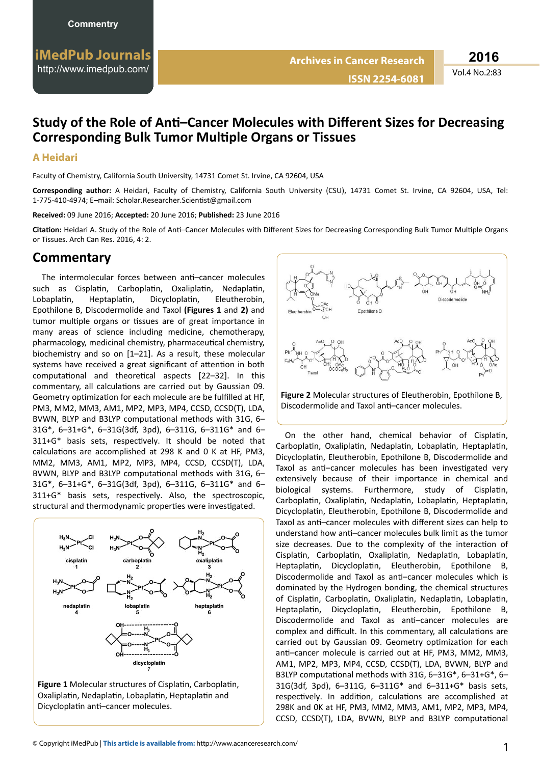## **Study of the Role of Anti-Cancer Molecules with Different Sizes for Decreasing Corresponding Bulk Tumor Multiple Organs or Tissues**

## **A Heidari**

Faculty of Chemistry, California South University, 14731 Comet St. Irvine, CA 92604, USA

**Corresponding author:** A Heidari, Faculty of Chemistry, California South University (CSU), 14731 Comet St. Irvine, CA 92604, USA, Tel: 1-775-410-4974; E-mail: Scholar.Researcher.Scientist@gmail.com

**Received:** 09 June 2016; **Accepted:** 20 June 2016; **Published:** 23 June 2016

Citation: Heidari A. Study of the Role of Anti-Cancer Molecules with Different Sizes for Decreasing Corresponding Bulk Tumor Multiple Organs or Tissues. Arch Can Res. 2016, 4: 2.

## **Commentary**

The intermolecular forces between anti-cancer molecules such as Cisplatin, Carboplatin, Oxaliplatin, Nedaplatin, Lobaplatin, Heptaplatin, Dicycloplatin, Eleutherobin, Epothilone B, Discodermolide and Taxol **(Figures 1** and **2)** and tumor multiple organs or tissues are of great importance in many areas of science including medicine, chemotherapy, pharmacology, medicinal chemistry, pharmaceutical chemistry, biochemistry and so on [1–21]. As a result, these molecular systems have received a great significant of attention in both computational and theoretical aspects [22–32]. In this commentary, all calculations are carried out by Gaussian 09. Geometry optimization for each molecule are be fulfilled at HF. PM3, MM2, MM3, AM1, MP2, MP3, MP4, CCSD, CCSD(T), LDA, BVWN, BLYP and B3LYP computational methods with 31G, 6– 31G\*, 6–31+G\*, 6–31G(3df, 3pd), 6–311G, 6–311G\* and 6– 311+G\* basis sets, respectively, It should be noted that calculations are accomplished at 298 K and 0 K at HF, PM3, MM2, MM3, AM1, MP2, MP3, MP4, CCSD, CCSD(T), LDA, BVWN, BLYP and B3LYP computational methods with 31G, 6– 31G\*, 6–31+G\*, 6–31G(3df, 3pd), 6–311G, 6–311G\* and 6– 311+G\* basis sets, respectively. Also, the spectroscopic, structural and thermodynamic properties were investigated.



Figure 1 Molecular structures of Cisplatin, Carboplatin, Oxaliplatin, Nedaplatin, Lobaplatin, Heptaplatin and Dicycloplatin anti-cancer molecules.



**Figure 2** Molecular structures of Eleutherobin, Epothilone B, Discodermolide and Taxol anti-cancer molecules.

On the other hand, chemical behavior of Cisplatin, Carboplatin, Oxaliplatin, Nedaplatin, Lobaplatin, Heptaplatin, Dicycloplatin, Eleutherobin, Epothilone B, Discodermolide and Taxol as anti-cancer molecules has been investigated very extensively because of their importance in chemical and biological systems. Furthermore, study of Cisplatin, Carboplatin, Oxaliplatin, Nedaplatin, Lobaplatin, Heptaplatin, Dicycloplatin, Eleutherobin, Epothilone B, Discodermolide and Taxol as anti-cancer molecules with different sizes can help to understand how anti-cancer molecules bulk limit as the tumor size decreases. Due to the complexity of the interaction of Cisplatin, Carboplatin, Oxaliplatin, Nedaplatin, Lobaplatin, Heptaplatin, Dicycloplatin, Eleutherobin, Epothilone B, Discodermolide and Taxol as anti-cancer molecules which is dominated by the Hydrogen bonding, the chemical structures of Cisplatin, Carboplatin, Oxaliplatin, Nedaplatin, Lobaplatin, Heptaplatin, Dicycloplatin, Eleutherobin, Epothilone B, Discodermolide and Taxol as anti-cancer molecules are complex and difficult. In this commentary, all calculations are carried out by Gaussian 09. Geometry optimization for each anti-cancer molecule is carried out at HF, PM3, MM2, MM3, AM1, MP2, MP3, MP4, CCSD, CCSD(T), LDA, BVWN, BLYP and B3LYP computational methods with 31G, 6-31G\*, 6-31+G\*, 6-31G(3df, 3pd), 6–311G, 6–311G\* and 6–311+G\* basis sets, respectively. In addition, calculations are accomplished at 298K and 0K at HF, PM3, MM2, MM3, AM1, MP2, MP3, MP4, CCSD, CCSD(T), LDA, BVWN, BLYP and B3LYP computational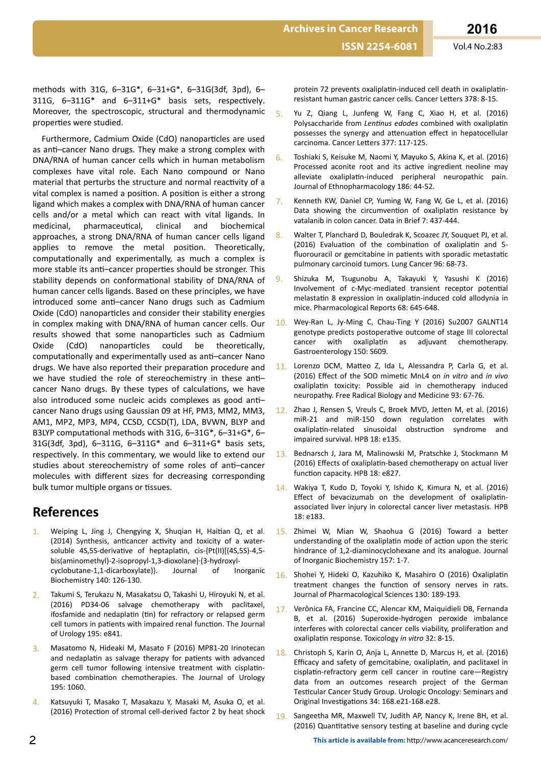**ISSN 2254-6081** Vol.4 No.2:83

methods with 31G, 6–31G\*, 6–31+G\*, 6–31G(3df, 3pd), 6– 311G,  $6-311G^*$  and  $6-311+G^*$  basis sets, respectively. Moreover, the spectroscopic, structural and thermodynamic properties were studied.

Furthermore, Cadmium Oxide (CdO) nanoparticles are used as anti-cancer Nano drugs. They make a strong complex with DNA/RNA of human cancer cells which in human metabolism complexes have vital role. Each Nano compound or Nano material that perturbs the structure and normal reactivity of a vital complex is named a position. A position is either a strong ligand which makes a complex with DNA/RNA of human cancer cells and/or a metal which can react with vital ligands. In medicinal, pharmaceutical, clinical and biochemical approaches, a strong DNA/RNA of human cancer cells ligand applies to remove the metal position. Theoretically, computationally and experimentally, as much a complex is more stable its anti-cancer properties should be stronger. This stability depends on conformational stability of DNA/RNA of human cancer cells ligands. Based on these principles, we have introduced some anti-cancer Nano drugs such as Cadmium Oxide (CdO) nanoparticles and consider their stability energies in complex making with DNA/RNA of human cancer cells. Our results showed that some nanoparticles such as Cadmium Oxide (CdO) nanoparticles could be theoretically. computationally and experimentally used as anti-cancer Nano drugs. We have also reported their preparation procedure and we have studied the role of stereochemistry in these anticancer Nano drugs. By these types of calculations, we have also introduced some nucleic acids complexes as good anticancer Nano drugs using Gaussian 09 at HF, PM3, MM2, MM3, AM1, MP2, MP3, MP4, CCSD, CCSD(T), LDA, BVWN, BLYP and B3LYP computational methods with 31G, 6–31G\*, 6–31+G\*, 6– 31G(3df, 3pd), 6–311G, 6–311G\* and 6–311+G\* basis sets, respectively. In this commentary, we would like to extend our studies about stereochemistry of some roles of anti-cancer molecules with different sizes for decreasing corresponding bulk tumor multiple organs or tissues.

## **References**

- Weiping L, Jing J, Chengying X, Shuqian H, Haitian Q, et al. (2014) Synthesis, anticancer activity and toxicity of a watersoluble 4S,5S-derivative of heptaplatin, cis-{Pt(II)[(4S,5S)-4,5bis(aminomethyl)-2-isopropyl-1,3-dioxolane]·(3-hydroxylcyclobutane-1,1-dicarboxylate)}. Journal of Inorganic Biochemistry 140: 126-130.
- Takumi S, Terukazu N, Masakatsu O, Takashi U, Hiroyuki N, et al. (2016) PD34-06 salvage chemotherapy with paclitaxel, ifosfamide and nedaplatin (tin) for refractory or relapsed germ cell tumors in patients with impaired renal function. The Journal of Urology 195: e841.
- 3. Masatomo N, Hideaki M, Masato F (2016) MP81-20 Irinotecan and nedaplatin as salvage therapy for patients with advanced germ cell tumor following intensive treatment with cisplatinbased combination chemotherapies. The Journal of Urology 195: 1060.
- 4. Katsuyuki T, Masako T, Masakazu Y, Masaki M, Asuka O, et al. (2016) Protection of stromal cell-derived factor 2 by heat shock

protein 72 prevents oxaliplatin-induced cell death in oxaliplatinresistant human gastric cancer cells. Cancer Letters 378: 8-15.

- 5. Yu Z, Qiang L, Junfeng W, Fang C, Xiao H, et al. (2016) Polysaccharide from *Lentinus edodes* combined with oxaliplatin possesses the synergy and attenuation effect in hepatocellular carcinoma. Cancer Letters 377: 117-125.
- 6. Toshiaki S, Keisuke M, Naomi Y, Mayuko S, Akina K, et al. (2016) Processed aconite root and its active ingredient neoline may alleviate oxaliplatin-induced peripheral neuropathic pain. Journal of Ethnopharmacology 186: 44-52.
- Kenneth KW, Daniel CP, Yuming W, Fang W, Ge L, et al. (2016) Data showing the circumvention of oxaliplatin resistance by vatalanib in colon cancer. Data in Brief 7: 437-444.
- 8. Walter T, Planchard D, Bouledrak K, Scoazec JY, Souquet PJ, et al. (2016) Evaluation of the combination of oxaliplatin and 5fluorouracil or gemcitabine in patients with sporadic metastatic pulmonary carcinoid tumors. Lung Cancer 96: 68-73.
- 9. Shizuka M, Tsugunobu A, Takayuki Y, Yasushi K (2016) Involvement of c-Myc-mediated transient receptor potential melastatin 8 expression in oxaliplatin-induced cold allodynia in mice. Pharmacological Reports 68: 645-648.
- Wey-Ran L, Jy-Ming C, Chau-Ting Y (2016) Su2007 GALNT14 genotype predicts postoperative outcome of stage III colorectal cancer with oxaliplatin as adjuvant chemotherapy. Gastroenterology 150: S609.
- 11. Lorenzo DCM, Matteo Z, Ida L, Alessandra P, Carla G, et al. (2016) Effect of the SOD mimetic MnL4 on *in vitro* and *in vivo* oxaliplatin toxicity: Possible aid in chemotherapy induced neuropathy. Free Radical Biology and Medicine 93: 67-76.
- 12. Zhao J, Rensen S, Vreuls C, Broek MVD, Jetten M, et al. (2016) miR-21 and miR-150 down regulation correlates with oxaliplatin-related sinusoidal obstruction syndrome and impaired survival. HPB 18: e135.
- 13. Bednarsch J, Jara M, Malinowski M, Pratschke J, Stockmann M (2016) Effects of oxaliplatin-based chemotherapy on actual liver function capacity. HPB 18: e827.
- 14. Wakiya T, Kudo D, Toyoki Y, Ishido K, Kimura N, et al. (2016) Effect of bevacizumab on the development of oxaliplatinassociated liver injury in colorectal cancer liver metastasis. HPB 18: e183.
- 15. Zhimei W, Mian W, Shaohua G (2016) Toward a better understanding of the oxaliplatin mode of action upon the steric hindrance of 1,2-diaminocyclohexane and its analogue. Journal of Inorganic Biochemistry 157: 1-7.
- 16. Shohei Y, Hideki O, Kazuhiko K, Masahiro O (2016) Oxaliplatin treatment changes the function of sensory nerves in rats. Journal of Pharmacological Sciences 130: 189-193.
- 17. Verônica FA, Francine CC, Alencar KM, Maiquidieli DB, Fernanda B, et al. (2016) Superoxide-hydrogen peroxide imbalance interferes with colorectal cancer cells viability, proliferation and oxaliplatin response. Toxicology *in vitro* 32: 8-15.
- 18. Christoph S, Karin O, Anja L, Annette D, Marcus H, et al. (2016) Efficacy and safety of gemcitabine, oxaliplatin, and paclitaxel in cisplatin-refractory germ cell cancer in routine care—Registry data from an outcomes research project of the German Testicular Cancer Study Group. Urologic Oncology: Seminars and Original Investigations 34: 168.e21-168.e28.
- Sangeetha MR, Maxwell TV, Judith AP, Nancy K, Irene BH, et al. (2016) Quantitative sensory testing at baseline and during cycle